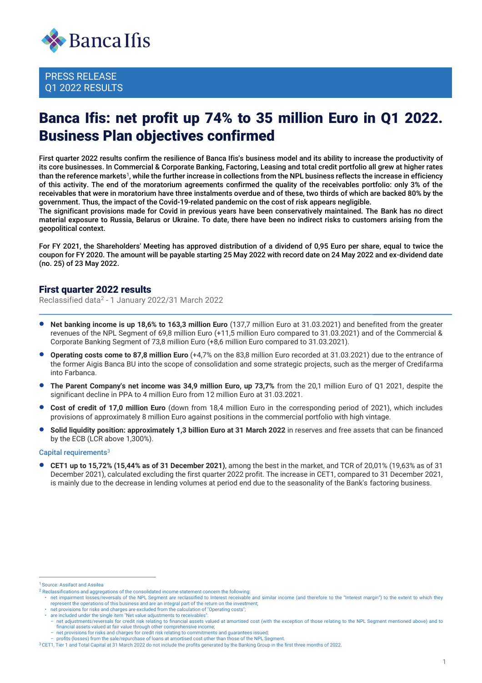

# Banca Ifis: net profit up 74% to 35 million Euro in Q1 2022. Business Plan objectives confirmed

First quarter 2022 results confirm the resilience of Banca Ifis's business model and its ability to increase the productivity of its core businesses. In Commercial & Corporate Banking, Factoring, Leasing and total credit portfolio all grew at higher rates than the reference markets<sup>1</sup>, while the further increase in collections from the NPL business reflects the increase in efficiency of this activity. The end of the moratorium agreements confirmed the quality of the receivables portfolio: only 3% of the receivables that were in moratorium have three instalments overdue and of these, two thirds of which are backed 80% by the government. Thus, the impact of the Covid-19-related pandemic on the cost of risk appears negligible.

The significant provisions made for Covid in previous years have been conservatively maintained. The Bank has no direct material exposure to Russia, Belarus or Ukraine. To date, there have been no indirect risks to customers arising from the geopolitical context.

For FY 2021, the Shareholders' Meeting has approved distribution of a dividend of 0,95 Euro per share, equal to twice the coupon for FY 2020. The amount will be payable starting 25 May 2022 with record date on 24 May 2022 and ex-dividend date (no. 25) of 23 May 2022.

#### First quarter 2022 results

Reclassified data<sup>2</sup> - 1 January 2022/31 March 2022

- **Net banking income is up 18,6% to 163,3 million Euro** (137,7 million Euro at 31.03.2021) and benefited from the greater revenues of the NPL Segment of 69,8 million Euro (+11,5 million Euro compared to 31.03.2021) and of the Commercial & Corporate Banking Segment of 73,8 million Euro (+8,6 million Euro compared to 31.03.2021).
- **Operating costs come to 87,8 million Euro** (+4,7% on the 83,8 million Euro recorded at 31.03.2021) due to the entrance of the former Aigis Banca BU into the scope of consolidation and some strategic projects, such as the merger of Credifarma into Farbanca.
- **The Parent Company's net income was 34,9 million Euro, up 73,7%** from the 20,1 million Euro of Q1 2021, despite the significant decline in PPA to 4 million Euro from 12 million Euro at 31.03.2021.
- **Cost of credit of 17,0 million Euro** (down from 18,4 million Euro in the corresponding period of 2021), which includes provisions of approximately 8 million Euro against positions in the commercial portfolio with high vintage.
- **Solid liquidity position: approximately 1,3 billion Euro at 31 March 2022** in reserves and free assets that can be financed by the ECB (LCR above 1,300%).

#### Capital requirements<sup>3</sup>

• **CET1 up to 15,72% (15,44% as of 31 December 2021)**, among the best in the market, and TCR of 20,01% (19,63% as of 31 December 2021), calculated excluding the first quarter 2022 profit. The increase in CET1, compared to 31 December 2021, is mainly due to the decrease in lending volumes at period end due to the seasonality of the Bank's factoring business.

<sup>&</sup>lt;sup>1</sup> Source: Assifact and Assilea

<sup>2</sup> Reclassifications and aggregations of the consolidated income statement concern the following:

net impairment losses/reversals of the NPL Segment are reclassified to Interest receivable and similar income (and therefore to the "Interest margin") to the extent to which they represent the operations of this business a

<sup>•</sup> net provisions for risks and charges are excluded from the calculation of "Operating costs"; • are included under the single item "Net value adjustments to receivables":

<sup>–</sup> net adjustments/reversals for credit risk relating to financial assets valued at amortised cost (with the exception of those relating to the NPL Segment mentioned above) and to financial assets valued at fair value through other comprehensive income;

<sup>–</sup> net provisions for risks and charges for credit risk relating to commitments and guarantees issued;

<sup>–</sup> profits (losses) from the sale/repurchase of loans at amortised cost other than those of the NPL Segment.

<sup>3</sup> CET1, Tier 1 and Total Capital at 31 March 2022 do not include the profits generated by the Banking Group in the first three months of 2022.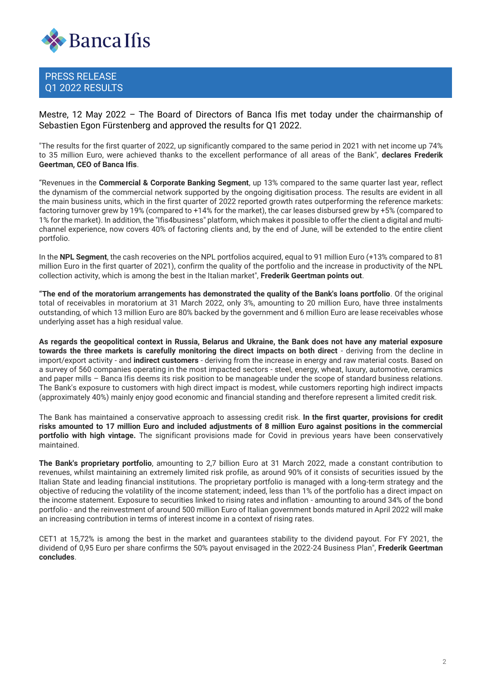

Mestre, 12 May 2022 – The Board of Directors of Banca Ifis met today under the chairmanship of Sebastien Egon Fürstenberg and approved the results for Q1 2022.

"The results for the first quarter of 2022, up significantly compared to the same period in 2021 with net income up 74% to 35 million Euro, were achieved thanks to the excellent performance of all areas of the Bank", **declares Frederik Geertman, CEO of Banca Ifis**.

"Revenues in the **Commercial & Corporate Banking Segment**, up 13% compared to the same quarter last year, reflect the dynamism of the commercial network supported by the ongoing digitisation process. The results are evident in all the main business units, which in the first quarter of 2022 reported growth rates outperforming the reference markets: factoring turnover grew by 19% (compared to +14% for the market), the car leases disbursed grew by +5% (compared to 1% for the market). In addition, the "Ifis4business" platform, which makes it possible to offer the client a digital and multichannel experience, now covers 40% of factoring clients and, by the end of June, will be extended to the entire client portfolio.

In the **NPL Segment**, the cash recoveries on the NPL portfolios acquired, equal to 91 million Euro (+13% compared to 81 million Euro in the first quarter of 2021), confirm the quality of the portfolio and the increase in productivity of the NPL collection activity, which is among the best in the Italian market", **Frederik Geertman points out**.

**"The end of the moratorium arrangements has demonstrated the quality of the Bank's loans portfolio**. Of the original total of receivables in moratorium at 31 March 2022, only 3%, amounting to 20 million Euro, have three instalments outstanding, of which 13 million Euro are 80% backed by the government and 6 million Euro are lease receivables whose underlying asset has a high residual value.

**As regards the geopolitical context in Russia, Belarus and Ukraine, the Bank does not have any material exposure towards the three markets is carefully monitoring the direct impacts on both direct** - deriving from the decline in import/export activity - and **indirect customers** - deriving from the increase in energy and raw material costs. Based on a survey of 560 companies operating in the most impacted sectors - steel, energy, wheat, luxury, automotive, ceramics and paper mills – Banca Ifis deems its risk position to be manageable under the scope of standard business relations. The Bank's exposure to customers with high direct impact is modest, while customers reporting high indirect impacts (approximately 40%) mainly enjoy good economic and financial standing and therefore represent a limited credit risk.

The Bank has maintained a conservative approach to assessing credit risk. **In the first quarter, provisions for credit risks amounted to 17 million Euro and included adjustments of 8 million Euro against positions in the commercial portfolio with high vintage.** The significant provisions made for Covid in previous years have been conservatively maintained.

**The Bank's proprietary portfolio**, amounting to 2,7 billion Euro at 31 March 2022, made a constant contribution to revenues, whilst maintaining an extremely limited risk profile, as around 90% of it consists of securities issued by the Italian State and leading financial institutions. The proprietary portfolio is managed with a long-term strategy and the objective of reducing the volatility of the income statement; indeed, less than 1% of the portfolio has a direct impact on the income statement. Exposure to securities linked to rising rates and inflation - amounting to around 34% of the bond portfolio - and the reinvestment of around 500 million Euro of Italian government bonds matured in April 2022 will make an increasing contribution in terms of interest income in a context of rising rates.

CET1 at 15,72% is among the best in the market and guarantees stability to the dividend payout. For FY 2021, the dividend of 0,95 Euro per share confirms the 50% payout envisaged in the 2022-24 Business Plan", **Frederik Geertman concludes**.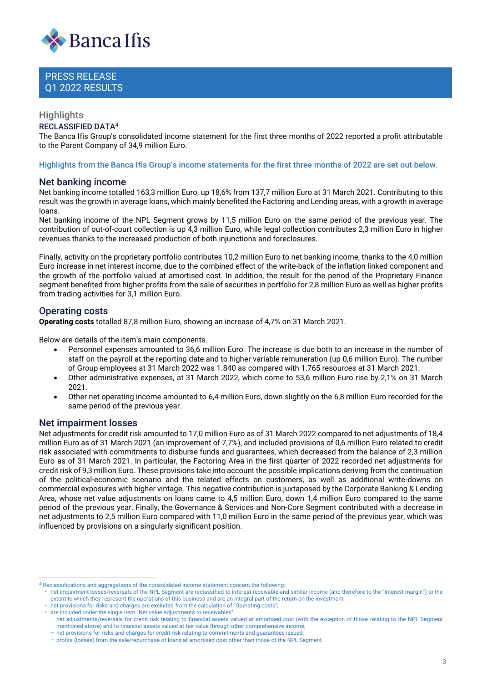

## **Highlights**

#### RECLASSIFIED DATA<sup>4</sup>

The Banca Ifis Group's consolidated income statement for the first three months of 2022 reported a profit attributable to the Parent Company of 34,9 million Euro.

Highlights from the Banca Ifis Group's income statements for the first three months of 2022 are set out below.

#### Net banking income

Net banking income totalled 163,3 million Euro, up 18,6% from 137,7 million Euro at 31 March 2021. Contributing to this result was the growth in average loans, which mainly benefited the Factoring and Lending areas, with a growth in average loans.

Net banking income of the NPL Segment grows by 11,5 million Euro on the same period of the previous year. The contribution of out-of-court collection is up 4,3 million Euro, while legal collection contributes 2,3 million Euro in higher revenues thanks to the increased production of both injunctions and foreclosures.

Finally, activity on the proprietary portfolio contributes 10,2 million Euro to net banking income, thanks to the 4,0 million Euro increase in net interest income, due to the combined effect of the write-back of the inflation linked component and the growth of the portfolio valued at amortised cost. In addition, the result for the period of the Proprietary Finance segment benefited from higher profits from the sale of securities in portfolio for 2,8 million Euro as well as higher profits from trading activities for 3,1 million Euro.

## Operating costs

**Operating costs** totalled 87,8 million Euro, showing an increase of 4,7% on 31 March 2021.

Below are details of the item's main components.

- Personnel expenses amounted to 36,6 million Euro. The increase is due both to an increase in the number of staff on the payroll at the reporting date and to higher variable remuneration (up 0,6 million Euro). The number of Group employees at 31 March 2022 was 1.840 as compared with 1.765 resources at 31 March 2021.
- Other administrative expenses, at 31 March 2022, which come to 53,6 million Euro rise by 2,1% on 31 March 2021.
- Other net operating income amounted to 6,4 million Euro, down slightly on the 6,8 million Euro recorded for the same period of the previous year.

#### Net impairment losses

Net adjustments for credit risk amounted to 17,0 million Euro as of 31 March 2022 compared to net adjustments of 18,4 million Euro as of 31 March 2021 (an improvement of 7,7%), and included provisions of 0,6 million Euro related to credit risk associated with commitments to disburse funds and guarantees, which decreased from the balance of 2,3 million Euro as of 31 March 2021. In particular, the Factoring Area in the first quarter of 2022 recorded net adjustments for credit risk of 9,3 million Euro. These provisions take into account the possible implications deriving from the continuation of the political-economic scenario and the related effects on customers, as well as additional write-downs on commercial exposures with higher vintage. This negative contribution is juxtaposed by the Corporate Banking & Lending Area, whose net value adjustments on loans came to 4,5 million Euro, down 1,4 million Euro compared to the same period of the previous year. Finally, the Governance & Services and Non-Core Segment contributed with a decrease in net adjustments to 2,5 million Euro compared with 11,0 million Euro in the same period of the previous year, which was influenced by provisions on a singularly significant position.

<sup>4</sup> Reclassifications and aggregations of the consolidated income statement concern the following:

<sup>•</sup> net impairment losses/reversals of the NPL Segment are reclassified to interest receivable and similar income (and therefore to the "Interest margin") to the extent to which they represent the operations of this business and are an integral part of the return on the investment;

net provisions for risks and charges are excluded from the calculation of "Operating costs";

<sup>•</sup> are included under the single item "Net value adjustments to receivables":

<sup>–</sup> net adjustments/reversals for credit risk relating to financial assets valued at amortised cost (with the exception of those relating to the NPL Segment mentioned above) and to financial assets valued at fair value through other comprehensive income;

<sup>–</sup> net provisions for risks and charges for credit risk relating to commitments and guarantees issued;

<sup>–</sup> profits (losses) from the sale/repurchase of loans at amortised cost other than those of the NPL Segment.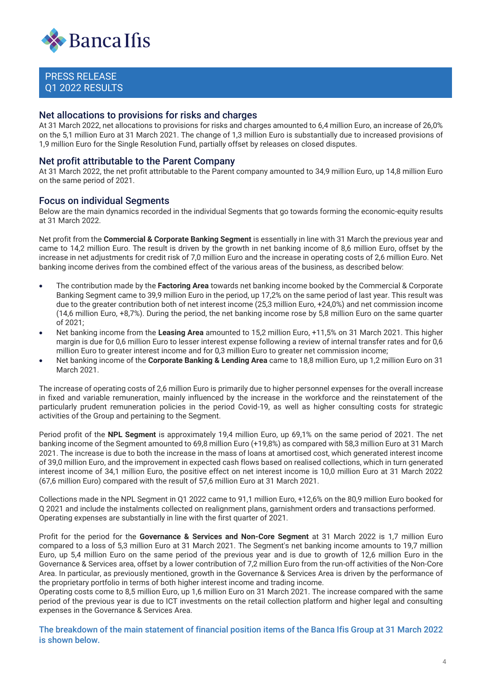

#### Net allocations to provisions for risks and charges

At 31 March 2022, net allocations to provisions for risks and charges amounted to 6,4 million Euro, an increase of 26,0% on the 5,1 million Euro at 31 March 2021. The change of 1,3 million Euro is substantially due to increased provisions of 1,9 million Euro for the Single Resolution Fund, partially offset by releases on closed disputes.

#### Net profit attributable to the Parent Company

At 31 March 2022, the net profit attributable to the Parent company amounted to 34,9 million Euro, up 14,8 million Euro on the same period of 2021.

#### Focus on individual Segments

Below are the main dynamics recorded in the individual Segments that go towards forming the economic-equity results at 31 March 2022.

Net profit from the **Commercial & Corporate Banking Segment** is essentially in line with 31 March the previous year and came to 14,2 million Euro. The result is driven by the growth in net banking income of 8,6 million Euro, offset by the increase in net adjustments for credit risk of 7,0 million Euro and the increase in operating costs of 2,6 million Euro. Net banking income derives from the combined effect of the various areas of the business, as described below:

- The contribution made by the **Factoring Area** towards net banking income booked by the Commercial & Corporate Banking Segment came to 39,9 million Euro in the period, up 17,2% on the same period of last year. This result was due to the greater contribution both of net interest income (25,3 million Euro, +24,0%) and net commission income (14,6 million Euro, +8,7%). During the period, the net banking income rose by 5,8 million Euro on the same quarter of 2021;
- Net banking income from the **Leasing Area** amounted to 15,2 million Euro, +11,5% on 31 March 2021. This higher margin is due for 0,6 million Euro to lesser interest expense following a review of internal transfer rates and for 0,6 million Euro to greater interest income and for 0,3 million Euro to greater net commission income;
- Net banking income of the **Corporate Banking & Lending Area** came to 18,8 million Euro, up 1,2 million Euro on 31 March 2021.

The increase of operating costs of 2,6 million Euro is primarily due to higher personnel expenses for the overall increase in fixed and variable remuneration, mainly influenced by the increase in the workforce and the reinstatement of the particularly prudent remuneration policies in the period Covid-19, as well as higher consulting costs for strategic activities of the Group and pertaining to the Segment.

Period profit of the **NPL Segment** is approximately 19,4 million Euro, up 69,1% on the same period of 2021. The net banking income of the Segment amounted to 69,8 million Euro (+19,8%) as compared with 58,3 million Euro at 31 March 2021. The increase is due to both the increase in the mass of loans at amortised cost, which generated interest income of 39,0 million Euro, and the improvement in expected cash flows based on realised collections, which in turn generated interest income of 34,1 million Euro, the positive effect on net interest income is 10,0 million Euro at 31 March 2022 (67,6 million Euro) compared with the result of 57,6 million Euro at 31 March 2021.

Collections made in the NPL Segment in Q1 2022 came to 91,1 million Euro, +12,6% on the 80,9 million Euro booked for Q 2021 and include the instalments collected on realignment plans, garnishment orders and transactions performed. Operating expenses are substantially in line with the first quarter of 2021.

Profit for the period for the **Governance & Services and Non-Core Segment** at 31 March 2022 is 1,7 million Euro compared to a loss of 5,3 million Euro at 31 March 2021. The Segment's net banking income amounts to 19,7 million Euro, up 5,4 million Euro on the same period of the previous year and is due to growth of 12,6 million Euro in the Governance & Services area, offset by a lower contribution of 7,2 million Euro from the run-off activities of the Non-Core Area. In particular, as previously mentioned, growth in the Governance & Services Area is driven by the performance of the proprietary portfolio in terms of both higher interest income and trading income.

Operating costs come to 8,5 million Euro, up 1,6 million Euro on 31 March 2021. The increase compared with the same period of the previous year is due to ICT investments on the retail collection platform and higher legal and consulting expenses in the Governance & Services Area.

The breakdown of the main statement of financial position items of the Banca Ifis Group at 31 March 2022 is shown below.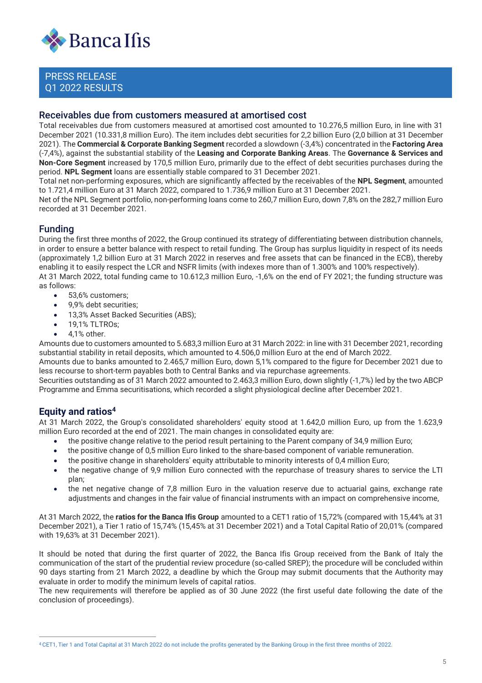

#### Receivables due from customers measured at amortised cost

Total receivables due from customers measured at amortised cost amounted to 10.276,5 million Euro, in line with 31 December 2021 (10.331,8 million Euro). The item includes debt securities for 2,2 billion Euro (2,0 billion at 31 December 2021). The **Commercial & Corporate Banking Segment** recorded a slowdown (-3,4%) concentrated in the **Factoring Area**  (-7,4%), against the substantial stability of the **Leasing and Corporate Banking Areas**. The **Governance & Services and Non-Core Segment** increased by 170,5 million Euro, primarily due to the effect of debt securities purchases during the period. **NPL Segment** loans are essentially stable compared to 31 December 2021.

Total net non-performing exposures, which are significantly affected by the receivables of the **NPL Segment**, amounted to 1.721,4 million Euro at 31 March 2022, compared to 1.736,9 million Euro at 31 December 2021.

Net of the NPL Segment portfolio, non-performing loans come to 260,7 million Euro, down 7,8% on the 282,7 million Euro recorded at 31 December 2021.

## Funding

During the first three months of 2022, the Group continued its strategy of differentiating between distribution channels, in order to ensure a better balance with respect to retail funding. The Group has surplus liquidity in respect of its needs (approximately 1,2 billion Euro at 31 March 2022 in reserves and free assets that can be financed in the ECB), thereby enabling it to easily respect the LCR and NSFR limits (with indexes more than of 1.300% and 100% respectively). At 31 March 2022, total funding came to 10.612,3 million Euro, -1,6% on the end of FY 2021; the funding structure was as follows:

- 53,6% customers;
- 9,9% debt securities;
- 13,3% Asset Backed Securities (ABS);
- 19,1% TLTROs;
- 4,1% other.

Amounts due to customers amounted to 5.683,3 million Euro at 31 March 2022: in line with 31 December 2021, recording substantial stability in retail deposits, which amounted to 4.506,0 million Euro at the end of March 2022.

Amounts due to banks amounted to 2.465,7 million Euro, down 5,1% compared to the figure for December 2021 due to less recourse to short-term payables both to Central Banks and via repurchase agreements.

Securities outstanding as of 31 March 2022 amounted to 2.463,3 million Euro, down slightly (-1,7%) led by the two ABCP Programme and Emma securitisations, which recorded a slight physiological decline after December 2021.

## **Equity and ratios<sup>4</sup>**

At 31 March 2022, the Group's consolidated shareholders' equity stood at 1.642,0 million Euro, up from the 1.623,9 million Euro recorded at the end of 2021. The main changes in consolidated equity are:

- the positive change relative to the period result pertaining to the Parent company of 34,9 million Euro;
- the positive change of 0,5 million Euro linked to the share-based component of variable remuneration.
- the positive change in shareholders' equity attributable to minority interests of 0,4 million Euro;
- the negative change of 9,9 million Euro connected with the repurchase of treasury shares to service the LTI plan;
- the net negative change of 7,8 million Euro in the valuation reserve due to actuarial gains, exchange rate adjustments and changes in the fair value of financial instruments with an impact on comprehensive income,

At 31 March 2022, the **ratios for the Banca Ifis Group** amounted to a CET1 ratio of 15,72% (compared with 15,44% at 31 December 2021), a Tier 1 ratio of 15,74% (15,45% at 31 December 2021) and a Total Capital Ratio of 20,01% (compared with 19,63% at 31 December 2021).

It should be noted that during the first quarter of 2022, the Banca Ifis Group received from the Bank of Italy the communication of the start of the prudential review procedure (so-called SREP); the procedure will be concluded within 90 days starting from 21 March 2022, a deadline by which the Group may submit documents that the Authority may evaluate in order to modify the minimum levels of capital ratios.

The new requirements will therefore be applied as of 30 June 2022 (the first useful date following the date of the conclusion of proceedings).

<sup>4</sup> CET1, Tier 1 and Total Capital at 31 March 2022 do not include the profits generated by the Banking Group in the first three months of 2022.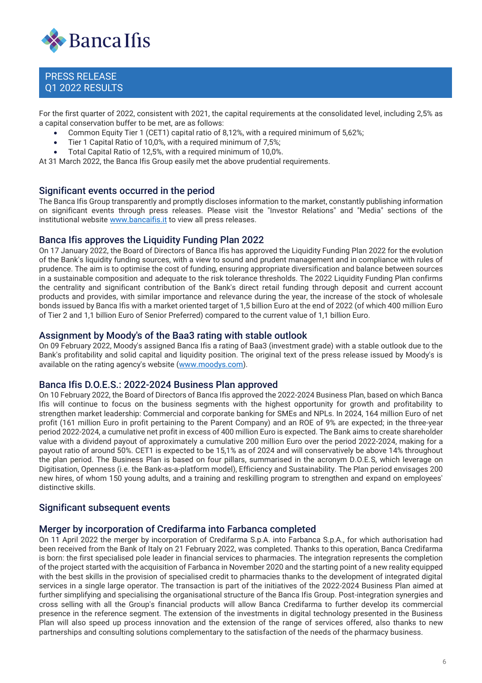

For the first quarter of 2022, consistent with 2021, the capital requirements at the consolidated level, including 2,5% as a capital conservation buffer to be met, are as follows:

- Common Equity Tier 1 (CET1) capital ratio of 8,12%, with a required minimum of 5,62%;
- Tier 1 Capital Ratio of 10,0%, with a required minimum of 7,5%;
- Total Capital Ratio of 12,5%, with a required minimum of 10,0%.

At 31 March 2022, the Banca Ifis Group easily met the above prudential requirements.

#### Significant events occurred in the period

The Banca Ifis Group transparently and promptly discloses information to the market, constantly publishing information on significant events through press releases. Please visit the "Investor Relations" and "Media" sections of the institutional website [www.bancaifis.it](http://www.bancaifis.itww/) to view all press releases.

#### Banca Ifis approves the Liquidity Funding Plan 2022

On 17 January 2022, the Board of Directors of Banca Ifis has approved the Liquidity Funding Plan 2022 for the evolution of the Bank's liquidity funding sources, with a view to sound and prudent management and in compliance with rules of prudence. The aim is to optimise the cost of funding, ensuring appropriate diversification and balance between sources in a sustainable composition and adequate to the risk tolerance thresholds. The 2022 Liquidity Funding Plan confirms the centrality and significant contribution of the Bank's direct retail funding through deposit and current account products and provides, with similar importance and relevance during the year, the increase of the stock of wholesale bonds issued by Banca Ifis with a market oriented target of 1,5 billion Euro at the end of 2022 (of which 400 million Euro of Tier 2 and 1,1 billion Euro of Senior Preferred) compared to the current value of 1,1 billion Euro.

#### Assignment by Moody's of the Baa3 rating with stable outlook

On 09 February 2022, Moody's assigned Banca Ifis a rating of Baa3 (investment grade) with a stable outlook due to the Bank's profitability and solid capital and liquidity position. The original text of the press release issued by Moody's is available on the rating agency's website [\(www.moodys.com\)](file:///C:/Users/dtammaro/AppData/Local/Microsoft/Windows/INetCache/Content.Outlook/F05WD9OF/www.moodys.com).

#### Banca Ifis D.O.E.S.: 2022-2024 Business Plan approved

On 10 February 2022, the Board of Directors of Banca Ifis approved the 2022-2024 Business Plan, based on which Banca Ifis will continue to focus on the business segments with the highest opportunity for growth and profitability to strengthen market leadership: Commercial and corporate banking for SMEs and NPLs. In 2024, 164 million Euro of net profit (161 million Euro in profit pertaining to the Parent Company) and an ROE of 9% are expected; in the three-year period 2022-2024, a cumulative net profit in excess of 400 million Euro is expected. The Bank aims to create shareholder value with a dividend payout of approximately a cumulative 200 million Euro over the period 2022-2024, making for a payout ratio of around 50%. CET1 is expected to be 15,1% as of 2024 and will conservatively be above 14% throughout the plan period. The Business Plan is based on four pillars, summarised in the acronym D.O.E.S, which leverage on Digitisation, Openness (i.e. the Bank-as-a-platform model), Efficiency and Sustainability. The Plan period envisages 200 new hires, of whom 150 young adults, and a training and reskilling program to strengthen and expand on employees' distinctive skills.

#### Significant subsequent events

#### Merger by incorporation of Credifarma into Farbanca completed

On 11 April 2022 the merger by incorporation of Credifarma S.p.A. into Farbanca S.p.A., for which authorisation had been received from the Bank of Italy on 21 February 2022, was completed. Thanks to this operation, Banca Credifarma is born: the first specialised pole leader in financial services to pharmacies. The integration represents the completion of the project started with the acquisition of Farbanca in November 2020 and the starting point of a new reality equipped with the best skills in the provision of specialised credit to pharmacies thanks to the development of integrated digital services in a single large operator. The transaction is part of the initiatives of the 2022-2024 Business Plan aimed at further simplifying and specialising the organisational structure of the Banca Ifis Group. Post-integration synergies and cross selling with all the Group's financial products will allow Banca Credifarma to further develop its commercial presence in the reference segment. The extension of the investments in digital technology presented in the Business Plan will also speed up process innovation and the extension of the range of services offered, also thanks to new partnerships and consulting solutions complementary to the satisfaction of the needs of the pharmacy business.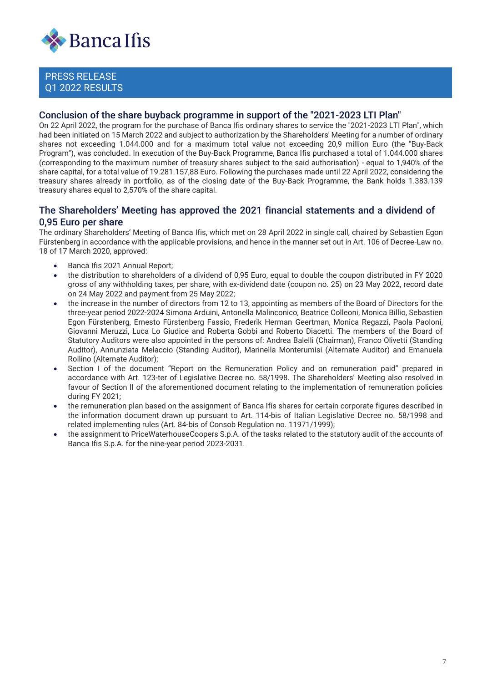

## Conclusion of the share buyback programme in support of the "2021-2023 LTI Plan"

On 22 April 2022, the program for the purchase of Banca Ifis ordinary shares to service the "2021-2023 LTI Plan", which had been initiated on 15 March 2022 and subject to authorization by the Shareholders' Meeting for a number of ordinary shares not exceeding 1.044.000 and for a maximum total value not exceeding 20,9 million Euro (the "Buy-Back Program"), was concluded. In execution of the Buy-Back Programme, Banca Ifis purchased a total of 1.044.000 shares (corresponding to the maximum number of treasury shares subject to the said authorisation) - equal to 1,940% of the share capital, for a total value of 19.281.157,88 Euro. Following the purchases made until 22 April 2022, considering the treasury shares already in portfolio, as of the closing date of the Buy-Back Programme, the Bank holds 1.383.139 treasury shares equal to 2,570% of the share capital.

## The Shareholders' Meeting has approved the 2021 financial statements and a dividend of 0,95 Euro per share

The ordinary Shareholders' Meeting of Banca Ifis, which met on 28 April 2022 in single call, chaired by Sebastien Egon Fürstenberg in accordance with the applicable provisions, and hence in the manner set out in Art. 106 of Decree-Law no. 18 of 17 March 2020, approved:

- Banca Ifis 2021 Annual Report;
- the distribution to shareholders of a dividend of 0,95 Euro, equal to double the coupon distributed in FY 2020 gross of any withholding taxes, per share, with ex-dividend date (coupon no. 25) on 23 May 2022, record date on 24 May 2022 and payment from 25 May 2022;
- the increase in the number of directors from 12 to 13, appointing as members of the Board of Directors for the three-year period 2022-2024 Simona Arduini, Antonella Malinconico, Beatrice Colleoni, Monica Billio, Sebastien Egon Fürstenberg, Ernesto Fürstenberg Fassio, Frederik Herman Geertman, Monica Regazzi, Paola Paoloni, Giovanni Meruzzi, Luca Lo Giudice and Roberta Gobbi and Roberto Diacetti. The members of the Board of Statutory Auditors were also appointed in the persons of: Andrea Balelli (Chairman), Franco Olivetti (Standing Auditor), Annunziata Melaccio (Standing Auditor), Marinella Monterumisi (Alternate Auditor) and Emanuela Rollino (Alternate Auditor);
- Section I of the document "Report on the Remuneration Policy and on remuneration paid" prepared in accordance with Art. 123-ter of Legislative Decree no. 58/1998. The Shareholders' Meeting also resolved in favour of Section II of the aforementioned document relating to the implementation of remuneration policies during FY 2021;
- the remuneration plan based on the assignment of Banca Ifis shares for certain corporate figures described in the information document drawn up pursuant to Art. 114-bis of Italian Legislative Decree no. 58/1998 and related implementing rules (Art. 84-bis of Consob Regulation no. 11971/1999);
- the assignment to PriceWaterhouseCoopers S.p.A. of the tasks related to the statutory audit of the accounts of Banca Ifis S.p.A. for the nine-year period 2023-2031.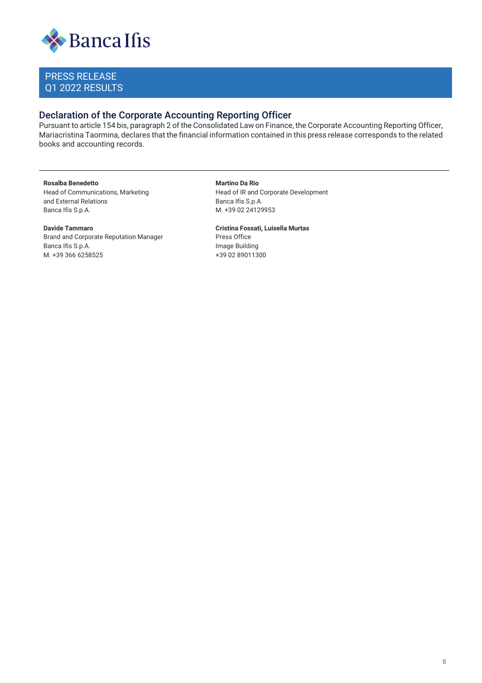

## Declaration of the Corporate Accounting Reporting Officer

Pursuant to article 154 bis, paragraph 2 of the Consolidated Law on Finance, the Corporate Accounting Reporting Officer, Mariacristina Taormina, declares that the financial information contained in this press release corresponds to the related books and accounting records.

#### **Rosalba Benedetto**

Head of Communications, Marketing and External Relations Banca Ifis S.p.A.

#### **Davide Tammaro**

Brand and Corporate Reputation Manager Banca Ifis S.p.A. M. +39 366 6258525

**Martino Da Rio** Head of IR and Corporate Development Banca Ifis S.p.A. M. +39 02 24129953

**Cristina Fossati, Luisella Murtas** Press Office Image Building +39 02 89011300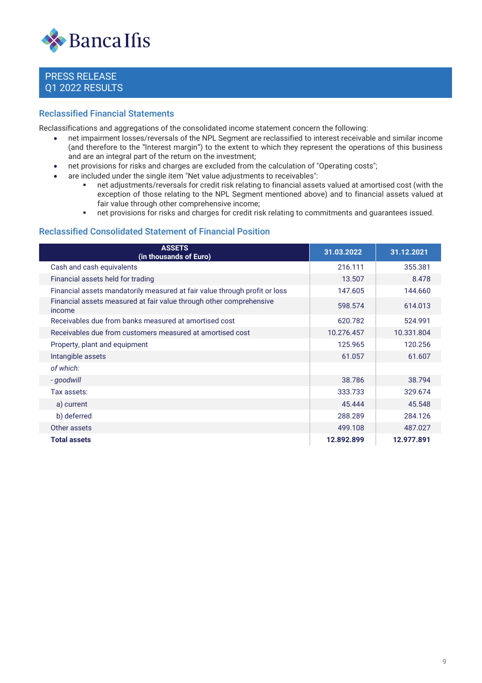

#### Reclassified Financial Statements

Reclassifications and aggregations of the consolidated income statement concern the following:

- net impairment losses/reversals of the NPL Segment are reclassified to interest receivable and similar income (and therefore to the "Interest margin") to the extent to which they represent the operations of this business and are an integral part of the return on the investment;
- net provisions for risks and charges are excluded from the calculation of "Operating costs";
- are included under the single item "Net value adjustments to receivables":
	- net adjustments/reversals for credit risk relating to financial assets valued at amortised cost (with the exception of those relating to the NPL Segment mentioned above) and to financial assets valued at fair value through other comprehensive income;
	- net provisions for risks and charges for credit risk relating to commitments and guarantees issued.

#### Reclassified Consolidated Statement of Financial Position

| <b>ASSETS</b><br>(in thousands of Euro)                                       | 31.03.2022 | 31.12.2021 |
|-------------------------------------------------------------------------------|------------|------------|
| Cash and cash equivalents                                                     | 216.111    | 355.381    |
| Financial assets held for trading                                             | 13.507     | 8.478      |
| Financial assets mandatorily measured at fair value through profit or loss    | 147.605    | 144.660    |
| Financial assets measured at fair value through other comprehensive<br>income | 598.574    | 614.013    |
| Receivables due from banks measured at amortised cost                         | 620.782    | 524.991    |
| Receivables due from customers measured at amortised cost                     | 10.276.457 | 10.331.804 |
| Property, plant and equipment                                                 | 125.965    | 120.256    |
| Intangible assets                                                             | 61.057     | 61.607     |
| of which:                                                                     |            |            |
| - goodwill                                                                    | 38.786     | 38.794     |
| Tax assets:                                                                   | 333.733    | 329.674    |
| a) current                                                                    | 45.444     | 45.548     |
| b) deferred                                                                   | 288.289    | 284.126    |
| Other assets                                                                  | 499.108    | 487.027    |
| <b>Total assets</b>                                                           | 12.892.899 | 12.977.891 |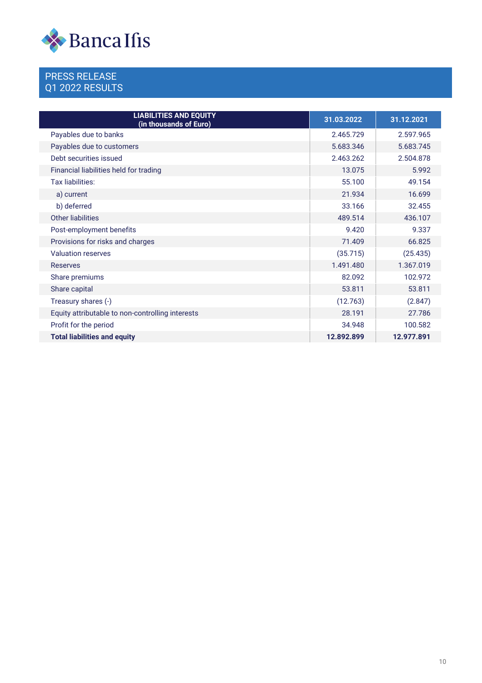

| <b>LIABILITIES AND EQUITY</b><br>(in thousands of Euro) | 31.03.2022 | 31.12.2021 |
|---------------------------------------------------------|------------|------------|
| Payables due to banks                                   | 2.465.729  | 2.597.965  |
| Payables due to customers                               | 5.683.346  | 5.683.745  |
| Debt securities issued                                  | 2.463.262  | 2.504.878  |
| Financial liabilities held for trading                  | 13.075     | 5.992      |
| Tax liabilities:                                        | 55.100     | 49.154     |
| a) current                                              | 21.934     | 16.699     |
| b) deferred                                             | 33.166     | 32.455     |
| <b>Other liabilities</b>                                | 489.514    | 436.107    |
| Post-employment benefits                                | 9.420      | 9.337      |
| Provisions for risks and charges                        | 71.409     | 66.825     |
| <b>Valuation reserves</b>                               | (35.715)   | (25.435)   |
| <b>Reserves</b>                                         | 1.491.480  | 1.367.019  |
| Share premiums                                          | 82.092     | 102.972    |
| Share capital                                           | 53.811     | 53.811     |
| Treasury shares (-)                                     | (12.763)   | (2.847)    |
| Equity attributable to non-controlling interests        | 28.191     | 27.786     |
| Profit for the period                                   | 34.948     | 100.582    |
| <b>Total liabilities and equity</b>                     | 12.892.899 | 12.977.891 |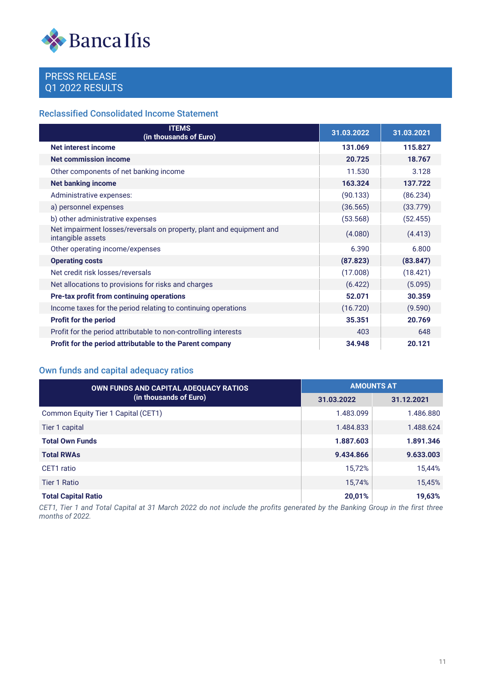

## Reclassified Consolidated Income Statement

| <b>ITEMS</b><br>(in thousands of Euro)                                                    | 31.03.2022 | 31.03.2021 |
|-------------------------------------------------------------------------------------------|------------|------------|
| Net interest income                                                                       | 131.069    | 115.827    |
| <b>Net commission income</b>                                                              | 20.725     | 18.767     |
| Other components of net banking income                                                    | 11.530     | 3.128      |
| <b>Net banking income</b>                                                                 | 163.324    | 137.722    |
| Administrative expenses:                                                                  | (90.133)   | (86.234)   |
| a) personnel expenses                                                                     | (36.565)   | (33.779)   |
| b) other administrative expenses                                                          | (53.568)   | (52.455)   |
| Net impairment losses/reversals on property, plant and equipment and<br>intangible assets | (4.080)    | (4.413)    |
| Other operating income/expenses                                                           | 6.390      | 6.800      |
| <b>Operating costs</b>                                                                    | (87.823)   | (83.847)   |
| Net credit risk losses/reversals                                                          | (17.008)   | (18.421)   |
| Net allocations to provisions for risks and charges                                       | (6.422)    | (5.095)    |
| Pre-tax profit from continuing operations                                                 | 52.071     | 30.359     |
| Income taxes for the period relating to continuing operations                             | (16.720)   | (9.590)    |
| Profit for the period                                                                     | 35.351     | 20.769     |
| Profit for the period attributable to non-controlling interests                           | 403        | 648        |
| Profit for the period attributable to the Parent company                                  | 34.948     | 20.121     |

# Own funds and capital adequacy ratios

| OWN FUNDS AND CAPITAL ADEQUACY RATIOS<br>(in thousands of Euro) | <b>AMOUNTS AT</b> |            |
|-----------------------------------------------------------------|-------------------|------------|
|                                                                 | 31.03.2022        | 31.12.2021 |
| Common Equity Tier 1 Capital (CET1)                             | 1.483.099         | 1.486.880  |
| Tier 1 capital                                                  | 1.484.833         | 1.488.624  |
| <b>Total Own Funds</b>                                          | 1.887.603         | 1.891.346  |
| <b>Total RWAs</b>                                               | 9.434.866         | 9.633.003  |
| CET1 ratio                                                      | 15,72%            | 15,44%     |
| <b>Tier 1 Ratio</b>                                             | 15,74%            | 15,45%     |
| <b>Total Capital Ratio</b>                                      | 20,01%            | 19,63%     |

*CET1, Tier 1 and Total Capital at 31 March 2022 do not include the profits generated by the Banking Group in the first three months of 2022.*